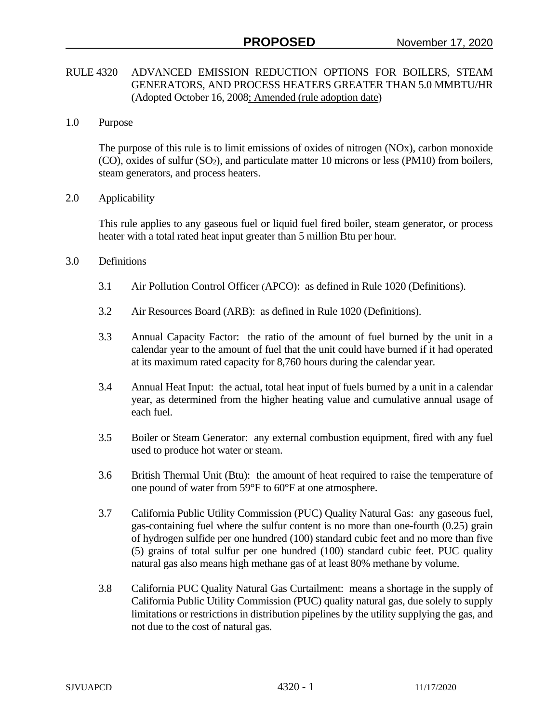## RULE 4320 ADVANCED EMISSION REDUCTION OPTIONS FOR BOILERS, STEAM GENERATORS, AND PROCESS HEATERS GREATER THAN 5.0 MMBTU/HR (Adopted October 16, 2008; Amended (rule adoption date)

1.0 Purpose

The purpose of this rule is to limit emissions of oxides of nitrogen (NOx), carbon monoxide (CO), oxides of sulfur (SO2), and particulate matter 10 microns or less (PM10) from boilers, steam generators, and process heaters.

2.0 Applicability

This rule applies to any gaseous fuel or liquid fuel fired boiler, steam generator, or process heater with a total rated heat input greater than 5 million Btu per hour.

- 3.0 Definitions
	- 3.1 Air Pollution Control Officer (APCO): as defined in Rule 1020 (Definitions).
	- 3.2 Air Resources Board (ARB): as defined in Rule 1020 (Definitions).
	- 3.3 Annual Capacity Factor: the ratio of the amount of fuel burned by the unit in a calendar year to the amount of fuel that the unit could have burned if it had operated at its maximum rated capacity for 8,760 hours during the calendar year.
	- 3.4 Annual Heat Input: the actual, total heat input of fuels burned by a unit in a calendar year, as determined from the higher heating value and cumulative annual usage of each fuel.
	- 3.5 Boiler or Steam Generator: any external combustion equipment, fired with any fuel used to produce hot water or steam.
	- 3.6 British Thermal Unit (Btu): the amount of heat required to raise the temperature of one pound of water from 59°F to 60°F at one atmosphere.
	- 3.7 California Public Utility Commission (PUC) Quality Natural Gas: any gaseous fuel, gas-containing fuel where the sulfur content is no more than one-fourth (0.25) grain of hydrogen sulfide per one hundred (100) standard cubic feet and no more than five (5) grains of total sulfur per one hundred (100) standard cubic feet. PUC quality natural gas also means high methane gas of at least 80% methane by volume.
	- 3.8 California PUC Quality Natural Gas Curtailment: means a shortage in the supply of California Public Utility Commission (PUC) quality natural gas, due solely to supply limitations or restrictions in distribution pipelines by the utility supplying the gas, and not due to the cost of natural gas.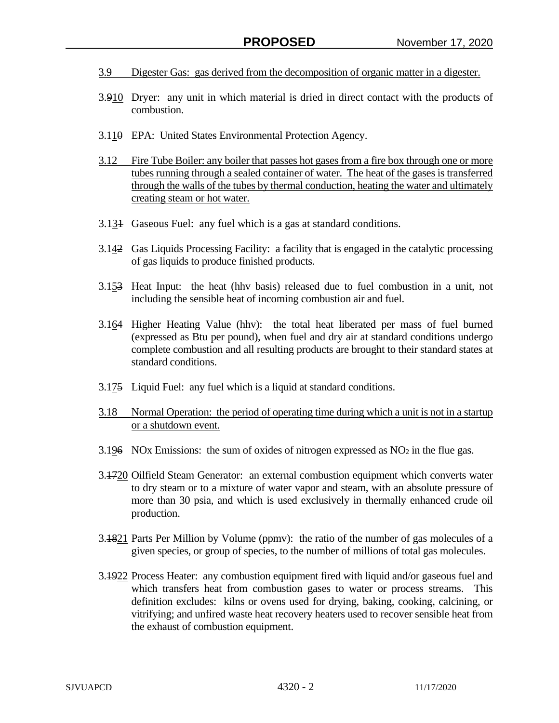- 3.9 Digester Gas: gas derived from the decomposition of organic matter in a digester.
- 3.910 Dryer: any unit in which material is dried in direct contact with the products of combustion.
- 3.110 EPA: United States Environmental Protection Agency.
- 3.12 Fire Tube Boiler: any boiler that passes hot gases from a fire box through one or more tubes running through a sealed container of water. The heat of the gases is transferred through the walls of the tubes by thermal conduction, heating the water and ultimately creating steam or hot water.
- 3.131 Gaseous Fuel: any fuel which is a gas at standard conditions.
- 3.142 Gas Liquids Processing Facility: a facility that is engaged in the catalytic processing of gas liquids to produce finished products.
- 3.153 Heat Input: the heat (hhv basis) released due to fuel combustion in a unit, not including the sensible heat of incoming combustion air and fuel.
- 3.164 Higher Heating Value (hhv): the total heat liberated per mass of fuel burned (expressed as Btu per pound), when fuel and dry air at standard conditions undergo complete combustion and all resulting products are brought to their standard states at standard conditions.
- 3.175 Liquid Fuel: any fuel which is a liquid at standard conditions.
- 3.18 Normal Operation: the period of operating time during which a unit is not in a startup or a shutdown event.
- 3.196 NOx Emissions: the sum of oxides of nitrogen expressed as  $NO<sub>2</sub>$  in the flue gas.
- 3.1720 Oilfield Steam Generator: an external combustion equipment which converts water to dry steam or to a mixture of water vapor and steam, with an absolute pressure of more than 30 psia, and which is used exclusively in thermally enhanced crude oil production.
- 3.1821 Parts Per Million by Volume (ppmv): the ratio of the number of gas molecules of a given species, or group of species, to the number of millions of total gas molecules.
- 3.4922 Process Heater: any combustion equipment fired with liquid and/or gaseous fuel and which transfers heat from combustion gases to water or process streams. This definition excludes: kilns or ovens used for drying, baking, cooking, calcining, or vitrifying; and unfired waste heat recovery heaters used to recover sensible heat from the exhaust of combustion equipment.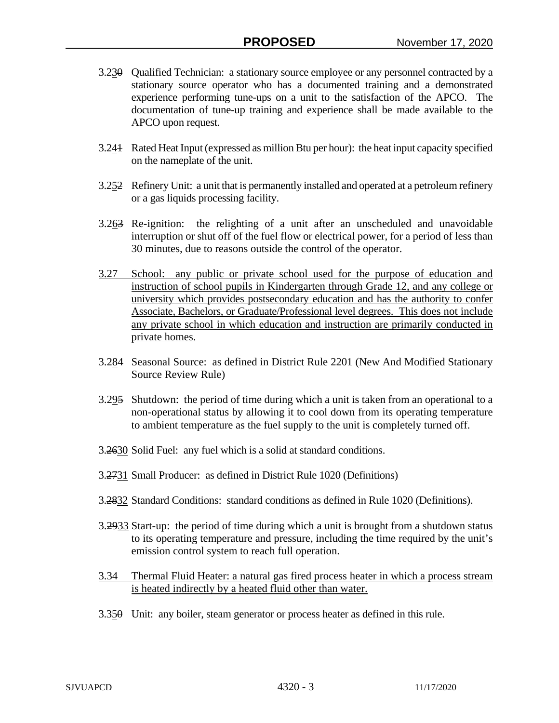- 3.230 Qualified Technician: a stationary source employee or any personnel contracted by a stationary source operator who has a documented training and a demonstrated experience performing tune-ups on a unit to the satisfaction of the APCO. The documentation of tune-up training and experience shall be made available to the APCO upon request.
- 3.241 Rated Heat Input (expressed as million Btu per hour): the heat input capacity specified on the nameplate of the unit.
- 3.252 Refinery Unit: a unit that is permanently installed and operated at a petroleum refinery or a gas liquids processing facility.
- 3.263 Re-ignition: the relighting of a unit after an unscheduled and unavoidable interruption or shut off of the fuel flow or electrical power, for a period of less than 30 minutes, due to reasons outside the control of the operator.
- 3.27 School: any public or private school used for the purpose of education and instruction of school pupils in Kindergarten through Grade 12, and any college or university which provides postsecondary education and has the authority to confer Associate, Bachelors, or Graduate/Professional level degrees. This does not include any private school in which education and instruction are primarily conducted in private homes.
- 3.284 Seasonal Source: as defined in District Rule 2201 (New And Modified Stationary Source Review Rule)
- 3.295 Shutdown: the period of time during which a unit is taken from an operational to a non-operational status by allowing it to cool down from its operating temperature to ambient temperature as the fuel supply to the unit is completely turned off.
- 3.2630 Solid Fuel: any fuel which is a solid at standard conditions.
- 3.2731 Small Producer: as defined in District Rule 1020 (Definitions)
- 3.2832 Standard Conditions: standard conditions as defined in Rule 1020 (Definitions).
- 3.2933 Start-up: the period of time during which a unit is brought from a shutdown status to its operating temperature and pressure, including the time required by the unit's emission control system to reach full operation.
- 3.34 Thermal Fluid Heater: a natural gas fired process heater in which a process stream is heated indirectly by a heated fluid other than water.
- 3.350 Unit: any boiler, steam generator or process heater as defined in this rule.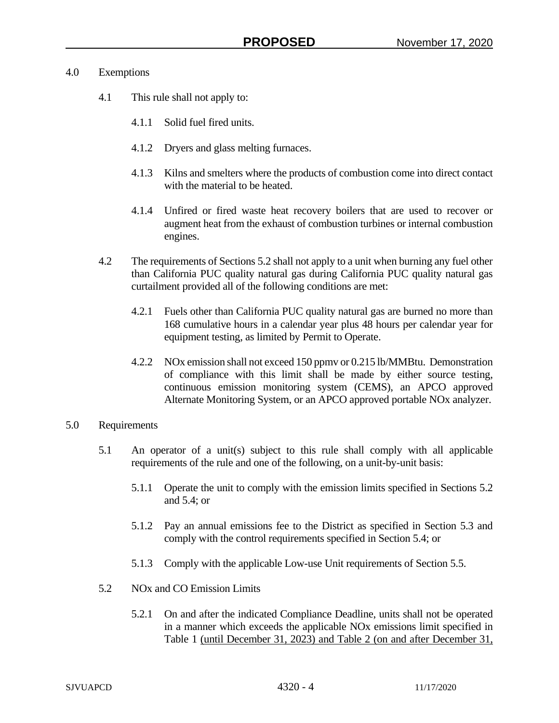## 4.0 Exemptions

- 4.1 This rule shall not apply to:
	- 4.1.1 Solid fuel fired units.
	- 4.1.2 Dryers and glass melting furnaces.
	- 4.1.3 Kilns and smelters where the products of combustion come into direct contact with the material to be heated.
	- 4.1.4 Unfired or fired waste heat recovery boilers that are used to recover or augment heat from the exhaust of combustion turbines or internal combustion engines.
- 4.2 The requirements of Sections 5.2 shall not apply to a unit when burning any fuel other than California PUC quality natural gas during California PUC quality natural gas curtailment provided all of the following conditions are met:
	- 4.2.1 Fuels other than California PUC quality natural gas are burned no more than 168 cumulative hours in a calendar year plus 48 hours per calendar year for equipment testing, as limited by Permit to Operate.
	- 4.2.2 NOx emission shall not exceed 150 ppmv or 0.215 lb/MMBtu. Demonstration of compliance with this limit shall be made by either source testing, continuous emission monitoring system (CEMS), an APCO approved Alternate Monitoring System, or an APCO approved portable NOx analyzer.
- 5.0 Requirements
	- 5.1 An operator of a unit(s) subject to this rule shall comply with all applicable requirements of the rule and one of the following, on a unit-by-unit basis:
		- 5.1.1 Operate the unit to comply with the emission limits specified in Sections 5.2 and 5.4; or
		- 5.1.2 Pay an annual emissions fee to the District as specified in Section 5.3 and comply with the control requirements specified in Section 5.4; or
		- 5.1.3 Comply with the applicable Low-use Unit requirements of Section 5.5.
	- 5.2 NOx and CO Emission Limits
		- 5.2.1 On and after the indicated Compliance Deadline, units shall not be operated in a manner which exceeds the applicable NOx emissions limit specified in Table 1 (until December 31, 2023) and Table 2 (on and after December 31,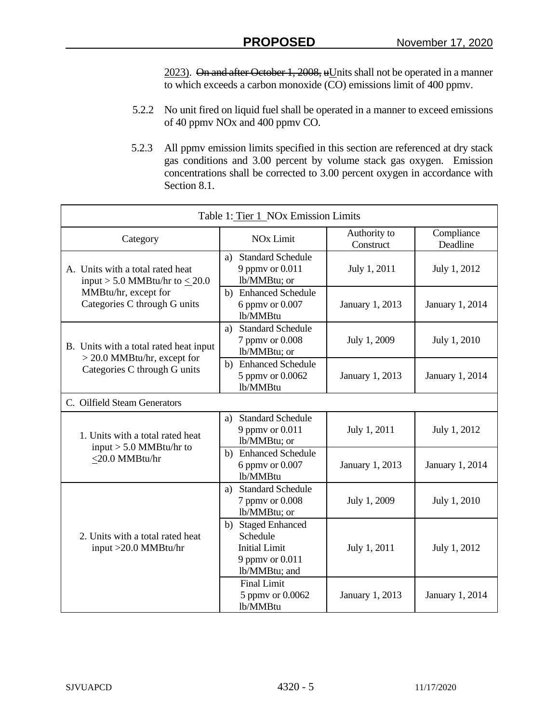$2023$ ). On and after October 1, 2008, uUnits shall not be operated in a manner to which exceeds a carbon monoxide (CO) emissions limit of 400 ppmv.

- 5.2.2 No unit fired on liquid fuel shall be operated in a manner to exceed emissions of 40 ppmv NOx and 400 ppmv CO.
- 5.2.3 All ppmv emission limits specified in this section are referenced at dry stack gas conditions and 3.00 percent by volume stack gas oxygen. Emission concentrations shall be corrected to 3.00 percent oxygen in accordance with Section 8.1.

| Table 1: Tier 1 NOx Emission Limits                                     |                                                                                            |                           |                        |  |
|-------------------------------------------------------------------------|--------------------------------------------------------------------------------------------|---------------------------|------------------------|--|
| Category                                                                | <b>NO<sub>x</sub></b> Limit                                                                | Authority to<br>Construct | Compliance<br>Deadline |  |
| A. Units with a total rated heat<br>input > 5.0 MMBtu/hr to $\leq$ 20.0 | <b>Standard Schedule</b><br>a)<br>9 ppmy or 0.011<br>lb/MMBtu; or                          | July 1, 2011              | July 1, 2012           |  |
| MMBtu/hr, except for<br>Categories C through G units                    | b) Enhanced Schedule<br>6 ppmv or 0.007<br>lb/MMBtu                                        | January 1, 2013           | January 1, 2014        |  |
| B. Units with a total rated heat input                                  | <b>Standard Schedule</b><br>a)<br>7 ppmy or 0.008<br>lb/MMBtu; or                          | July 1, 2009              | July 1, 2010           |  |
| $>$ 20.0 MMBtu/hr, except for<br>Categories C through G units           | b) Enhanced Schedule<br>5 ppmy or 0.0062<br>lb/MMBtu                                       | January 1, 2013           | January 1, 2014        |  |
| C. Oilfield Steam Generators                                            |                                                                                            |                           |                        |  |
| 1. Units with a total rated heat                                        | <b>Standard Schedule</b><br>a)<br>9 ppmy or 0.011<br>lb/MMBtu; or                          | July 1, 2011              | July 1, 2012           |  |
| input $> 5.0$ MMBtu/hr to<br><20.0 MMBtu/hr                             | b) Enhanced Schedule<br>6 ppmv or 0.007<br>lb/MMBtu                                        | January 1, 2013           | January 1, 2014        |  |
|                                                                         | a) Standard Schedule<br>7 ppmy or 0.008<br>lb/MMBtu; or                                    | July 1, 2009              | July 1, 2010           |  |
| 2. Units with a total rated heat<br>input >20.0 MMBtu/hr                | b) Staged Enhanced<br>Schedule<br><b>Initial Limit</b><br>9 ppmy or 0.011<br>lb/MMBtu; and | July 1, 2011              | July 1, 2012           |  |
|                                                                         | <b>Final Limit</b><br>5 ppmv or 0.0062<br>lb/MMBtu                                         | January 1, 2013           | January 1, 2014        |  |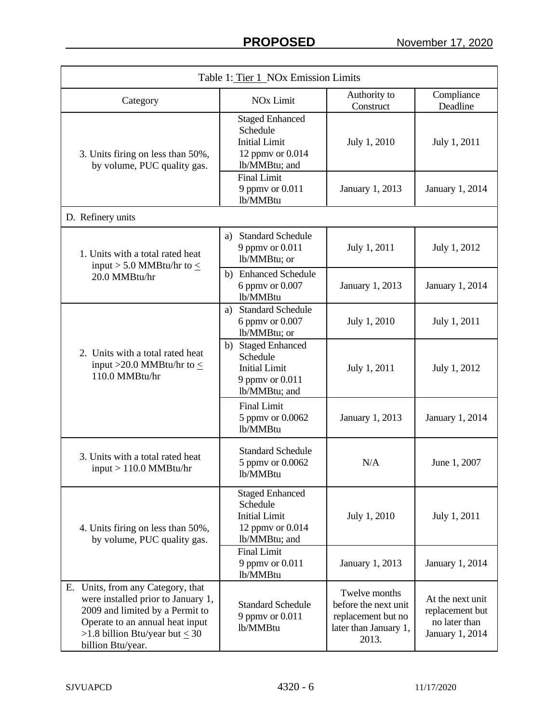| Table 1: Tier 1 NOx Emission Limits                                                                                                                                                                          |                                                                                                 |                                                                                               |                                                                         |
|--------------------------------------------------------------------------------------------------------------------------------------------------------------------------------------------------------------|-------------------------------------------------------------------------------------------------|-----------------------------------------------------------------------------------------------|-------------------------------------------------------------------------|
| Category                                                                                                                                                                                                     | <b>NO<sub>x</sub></b> Limit                                                                     | Authority to<br>Construct                                                                     | Compliance<br>Deadline                                                  |
| 3. Units firing on less than 50%,<br>by volume, PUC quality gas.                                                                                                                                             | <b>Staged Enhanced</b><br>Schedule<br><b>Initial Limit</b><br>12 ppmv or 0.014<br>lb/MMBtu; and | July 1, 2010                                                                                  | July 1, 2011                                                            |
|                                                                                                                                                                                                              | <b>Final Limit</b><br>9 ppmy or 0.011<br>lb/MMBtu                                               | January 1, 2013                                                                               | January 1, 2014                                                         |
| D. Refinery units                                                                                                                                                                                            |                                                                                                 |                                                                                               |                                                                         |
| 1. Units with a total rated heat<br>input > 5.0 MMBtu/hr to $\leq$                                                                                                                                           | <b>Standard Schedule</b><br>a)<br>9 ppmy or 0.011<br>lb/MMBtu; or                               | July 1, 2011                                                                                  | July 1, 2012                                                            |
| 20.0 MMBtu/hr                                                                                                                                                                                                | b) Enhanced Schedule<br>6 ppmy or 0.007<br>lb/MMBtu                                             | January 1, 2013                                                                               | January 1, 2014                                                         |
|                                                                                                                                                                                                              | a) Standard Schedule<br>6 ppmv or 0.007<br>lb/MMBtu; or                                         | July 1, 2010                                                                                  | July 1, 2011                                                            |
| 2. Units with a total rated heat<br>input >20.0 MMBtu/hr to $\leq$<br>110.0 MMBtu/hr                                                                                                                         | b) Staged Enhanced<br>Schedule<br><b>Initial Limit</b><br>9 ppmv or 0.011<br>lb/MMBtu; and      | July 1, 2011                                                                                  | July 1, 2012                                                            |
|                                                                                                                                                                                                              | <b>Final Limit</b><br>5 ppmv or 0.0062<br>lb/MMBtu                                              | January 1, 2013                                                                               | January 1, 2014                                                         |
| 3. Units with a total rated heat<br>$input > 110.0$ MMBtu/hr                                                                                                                                                 | <b>Standard Schedule</b><br>5 ppmy or 0.0062<br>lb/MMBtu                                        | N/A                                                                                           | June 1, 2007                                                            |
| 4. Units firing on less than 50%,<br>by volume, PUC quality gas.                                                                                                                                             | <b>Staged Enhanced</b><br>Schedule<br><b>Initial Limit</b><br>12 ppmv or 0.014<br>lb/MMBtu; and | July 1, 2010                                                                                  | July 1, 2011                                                            |
|                                                                                                                                                                                                              | <b>Final Limit</b><br>9 ppmv or 0.011<br>lb/MMBtu                                               | January 1, 2013                                                                               | January 1, 2014                                                         |
| Units, from any Category, that<br>Е.<br>were installed prior to January 1,<br>2009 and limited by a Permit to<br>Operate to an annual heat input<br>>1.8 billion Btu/year but $\leq 30$<br>billion Btu/year. | <b>Standard Schedule</b><br>9 ppmv or 0.011<br>lb/MMBtu                                         | Twelve months<br>before the next unit<br>replacement but no<br>later than January 1,<br>2013. | At the next unit<br>replacement but<br>no later than<br>January 1, 2014 |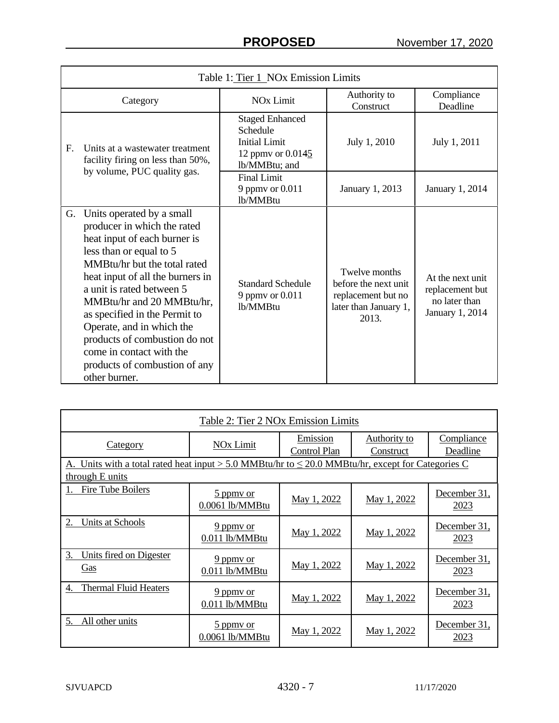|             | Table 1: Tier 1 NOx Emission Limits                                                                                                                                                                                                                                                                                                                                                                                            |                                                                                                  |                                                                                               |                                                                         |  |
|-------------|--------------------------------------------------------------------------------------------------------------------------------------------------------------------------------------------------------------------------------------------------------------------------------------------------------------------------------------------------------------------------------------------------------------------------------|--------------------------------------------------------------------------------------------------|-----------------------------------------------------------------------------------------------|-------------------------------------------------------------------------|--|
|             | Category                                                                                                                                                                                                                                                                                                                                                                                                                       | <b>NO<sub>x</sub></b> Limit                                                                      | Authority to<br>Construct                                                                     | Compliance<br>Deadline                                                  |  |
| $F_{\rm c}$ | Units at a wastewater treatment<br>facility firing on less than 50%,                                                                                                                                                                                                                                                                                                                                                           | <b>Staged Enhanced</b><br>Schedule<br><b>Initial Limit</b><br>12 ppmv or 0.0145<br>lb/MMBtu; and | July 1, 2010                                                                                  | July 1, 2011                                                            |  |
|             | by volume, PUC quality gas.                                                                                                                                                                                                                                                                                                                                                                                                    | <b>Final Limit</b><br>9 ppmy or 0.011<br>lb/MMBtu                                                | January 1, 2013                                                                               | January 1, 2014                                                         |  |
| G.          | Units operated by a small<br>producer in which the rated<br>heat input of each burner is<br>less than or equal to 5<br>MMBtu/hr but the total rated<br>heat input of all the burners in<br>a unit is rated between 5<br>MMBtu/hr and 20 MMBtu/hr,<br>as specified in the Permit to<br>Operate, and in which the<br>products of combustion do not<br>come in contact with the<br>products of combustion of any<br>other burner. | <b>Standard Schedule</b><br>9 ppmv or 0.011<br>lb/MMBtu                                          | Twelve months<br>before the next unit<br>replacement but no<br>later than January 1,<br>2013. | At the next unit<br>replacement but<br>no later than<br>January 1, 2014 |  |

| Table 2: Tier 2 NOx Emission Limits                                                                    |                                                 |                          |                                  |                        |
|--------------------------------------------------------------------------------------------------------|-------------------------------------------------|--------------------------|----------------------------------|------------------------|
| <b>Category</b>                                                                                        | NO <sub>x</sub> Limit                           | Emission<br>Control Plan | <b>Authority to</b><br>Construct | Compliance<br>Deadline |
| A. Units with a total rated heat input > 5.0 MMBtu/hr to $\leq$ 20.0 MMBtu/hr, except for Categories C |                                                 |                          |                                  |                        |
| through E units                                                                                        |                                                 |                          |                                  |                        |
| Fire Tube Boilers                                                                                      | $\frac{5 \text{ ppm}}{2}$ or<br>0.0061 lb/MMBtu | May 1, 2022              | May 1, 2022                      | December 31,<br>2023   |
| 2.<br>Units at Schools                                                                                 | 9 ppmy or<br>0.011 lb/MMBtu                     | May 1, 2022              | May 1, 2022                      | December 31,<br>2023   |
| 3.<br>Units fired on Digester<br><u>Gas</u>                                                            | $9$ ppmy or<br>$0.011$ lb/MMBtu                 | May 1, 2022              | May 1, 2022                      | December 31,<br>2023   |
| <b>Thermal Fluid Heaters</b><br>4.                                                                     | 9 ppmy or<br>0.011 lb/MMBtu                     | May 1, 2022              | May 1, 2022                      | December 31,<br>2023   |
| 5.<br>All other units                                                                                  | 5 ppmy or<br>0.0061 lb/MMBtu                    | May 1, 2022              | May 1, 2022                      | December 31,<br>2023   |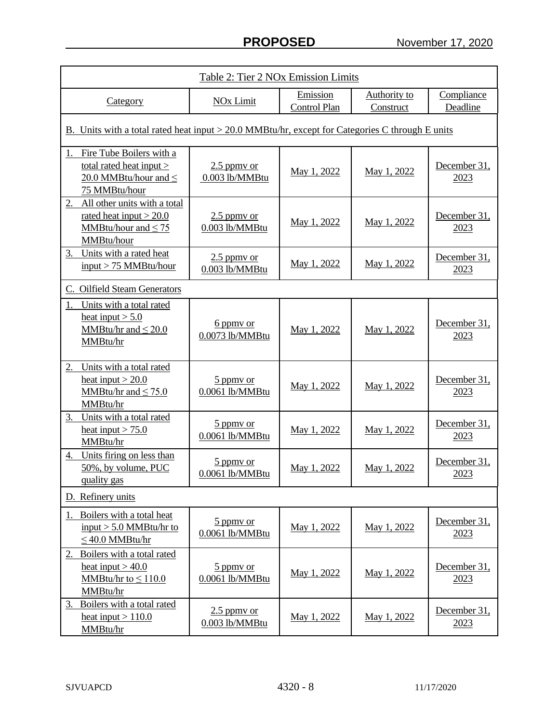| Table 2: Tier 2 NOx Emission Limits                                                                       |                                                 |                                 |                                  |                        |
|-----------------------------------------------------------------------------------------------------------|-------------------------------------------------|---------------------------------|----------------------------------|------------------------|
| Category                                                                                                  | <b>NOx Limit</b>                                | Emission<br><b>Control Plan</b> | <b>Authority to</b><br>Construct | Compliance<br>Deadline |
| B. Units with a total rated heat input > 20.0 MMBtu/hr, except for Categories C through E units           |                                                 |                                 |                                  |                        |
| Fire Tube Boilers with a<br>total rated heat input $>$<br>20.0 MMBtu/hour and $\leq$<br>75 MMBtu/hour     | $2.5$ ppmy or<br>0.003 lb/MMBtu                 | May 1, 2022                     | May 1, 2022                      | December 31,<br>2023   |
| All other units with a total<br>2.<br>rated heat input $>$ 20.0<br>MMBtu/hour and $\leq$ 75<br>MMBtu/hour | $2.5$ ppmy or<br>0.003 lb/MMBtu                 | May 1, 2022                     | May 1, 2022                      | December 31,<br>2023   |
| Units with a rated heat<br>3.<br>$input > 75$ MMBtu/hour                                                  | $2.5$ ppmy or<br>0.003 lb/MMBtu                 | May 1, 2022                     | May 1, 2022                      | December 31,<br>2023   |
| C. Oilfield Steam Generators                                                                              |                                                 |                                 |                                  |                        |
| Units with a total rated<br>1.<br>heat input $> 5.0$<br>MMBtu/hr and $\leq$ 20.0<br>MMBtu/hr              | 6 ppmy or<br>0.0073 lb/MMBtu                    | May 1, 2022                     | May 1, 2022                      | December 31,<br>2023   |
| 2.<br>Units with a total rated<br>heat input $> 20.0$<br>MMBtu/hr and $\leq$ 75.0<br>MMBtu/hr             | 5 ppmy or<br>0.0061 lb/MMBtu                    | May 1, 2022                     | May 1, 2022                      | December 31,<br>2023   |
| 3.<br>Units with a total rated<br>heat input $> 75.0$<br>MMBtu/hr                                         | 5 ppmy or<br>0.0061 lb/MMBtu                    | May 1, 2022                     | May 1, 2022                      | December 31,<br>2023   |
| Units firing on less than<br>4.<br>50%, by volume, PUC<br>quality gas                                     | 5 ppmy or<br>0.0061 lb/MMBtu                    | May 1, 2022                     | May 1, 2022                      | December 31,<br>2023   |
| D. Refinery units                                                                                         |                                                 |                                 |                                  |                        |
| 1. Boilers with a total heat<br>input $> 5.0$ MMBtu/hr to<br>$\leq$ 40.0 MMBtu/hr                         | $\frac{5 \text{ ppm}}{2}$ or<br>0.0061 lb/MMBtu | May 1, 2022                     | May 1, 2022                      | December 31,<br>2023   |
| Boilers with a total rated<br>2.<br>heat input $> 40.0$<br>MMBtu/hr to $\leq 110.0$<br>MMBtu/hr           | $\frac{5 \text{ ppm}}{2}$ or<br>0.0061 lb/MMBtu | May 1, 2022                     | May 1, 2022                      | December 31,<br>2023   |
| Boilers with a total rated<br>3.<br>heat input $> 110.0$<br>MMBtu/hr                                      | $2.5$ ppmy or<br>0.003 lb/MMBtu                 | May 1, 2022                     | May 1, 2022                      | December 31,<br>2023   |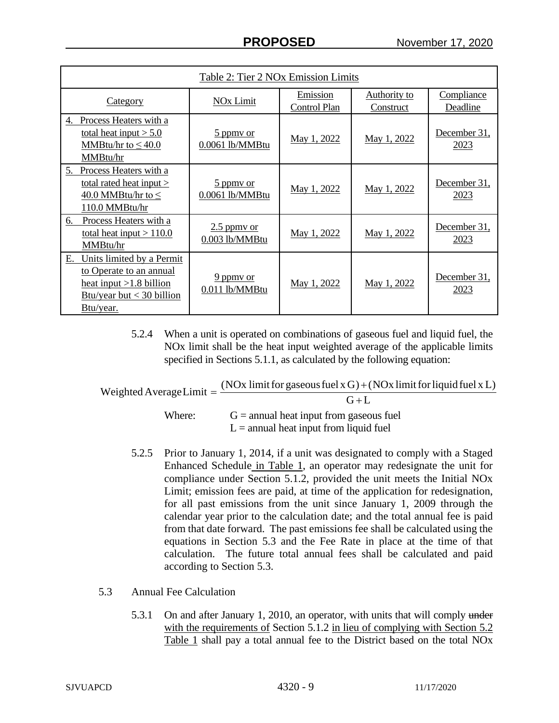| Table 2: Tier 2 NOx Emission Limits                                                                                                 |                                   |                                 |                                         |                             |
|-------------------------------------------------------------------------------------------------------------------------------------|-----------------------------------|---------------------------------|-----------------------------------------|-----------------------------|
| <b>Category</b>                                                                                                                     | NO <sub>x</sub> Limit             | Emission<br><b>Control Plan</b> | <b>Authority to</b><br><b>Construct</b> | Compliance<br>Deadline      |
| Process Heaters with a<br>4.<br>total heat input $> 5.0$<br>MMBtu/hr to $\leq 40.0$<br>MMBtu/hr                                     | 5 ppmy or<br>0.0061 lb/MMBtu      | May 1, 2022                     | May 1, 2022                             | December 31,<br>2023        |
| Process Heaters with a<br>5.<br>total rated heat input ><br>40.0 MMBtu/hr to $\leq$<br>110.0 MMBtu/hr                               | 5 ppmy or<br>0.0061 lb/MMBtu      | May 1, 2022                     | May 1, 2022                             | December 31,<br>2023        |
| Process Heaters with a<br>6.<br>total heat input $> 110.0$<br>MMBtu/hr                                                              | $2.5$ ppmy or<br>$0.003$ lb/MMBtu | May 1, 2022                     | May 1, 2022                             | December 31,<br><u>2023</u> |
| Units limited by a Permit<br>Е.<br>to Operate to an annual<br>heat input $>1.8$ billion<br>Btu/year but $<$ 30 billion<br>Btu/year. | $9$ ppmy or<br>$0.011$ lb/MMBtu   | May 1, 2022                     | May 1, 2022                             | December 31,<br>2023        |

5.2.4 When a unit is operated on combinations of gaseous fuel and liquid fuel, the NOx limit shall be the heat input weighted average of the applicable limits specified in Sections 5.1.1, as calculated by the following equation:

| Weighted Average Limit $=$ $\frac{(100 \text{ m})}{2}$ where $\frac{1}{2}$ and $\frac{1}{2}$ where $\frac{1}{2}$ and $\frac{1}{2}$ where $\frac{1}{2}$ are $\frac{1}{2}$ and $\frac{1}{2}$ are $\frac{1}{2}$ and $\frac{1}{2}$ are $\frac{1}{2}$ and $\frac{1}{2}$ are $\frac{1}{2}$ are | (NOx limit for gaseous fuel x G) + (NOx limit for liquid fuel x L) |
|------------------------------------------------------------------------------------------------------------------------------------------------------------------------------------------------------------------------------------------------------------------------------------------|--------------------------------------------------------------------|
|                                                                                                                                                                                                                                                                                          | $G+L$                                                              |
| Where:                                                                                                                                                                                                                                                                                   | $G =$ annual heat input from gaseous fuel                          |
|                                                                                                                                                                                                                                                                                          | $L =$ annual heat input from liquid fuel                           |

- 5.2.5 Prior to January 1, 2014, if a unit was designated to comply with a Staged Enhanced Schedule in Table 1, an operator may redesignate the unit for compliance under Section 5.1.2, provided the unit meets the Initial NOx Limit; emission fees are paid, at time of the application for redesignation, for all past emissions from the unit since January 1, 2009 through the calendar year prior to the calculation date; and the total annual fee is paid from that date forward. The past emissions fee shall be calculated using the equations in Section 5.3 and the Fee Rate in place at the time of that calculation. The future total annual fees shall be calculated and paid according to Section 5.3.
- 5.3 Annual Fee Calculation
	- 5.3.1 On and after January 1, 2010, an operator, with units that will comply under with the requirements of Section 5.1.2 in lieu of complying with Section 5.2 Table 1 shall pay a total annual fee to the District based on the total NOx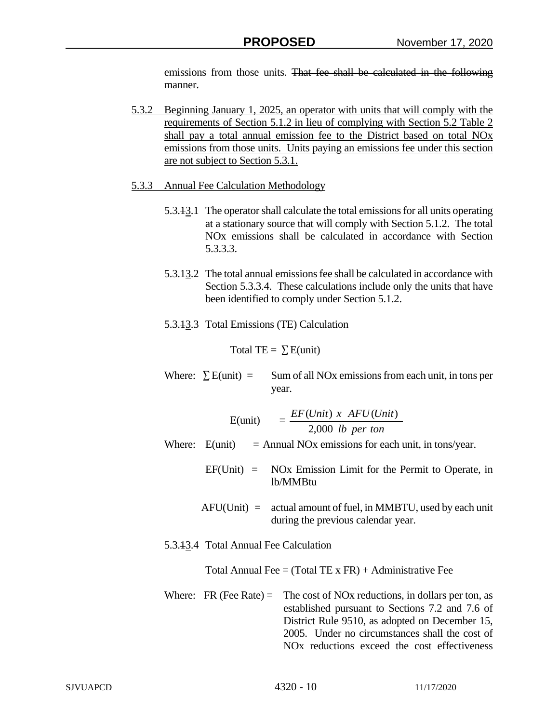emissions from those units. That fee shall be calculated in the following manner.

- 5.3.2 Beginning January 1, 2025, an operator with units that will comply with the requirements of Section 5.1.2 in lieu of complying with Section 5.2 Table 2 shall pay a total annual emission fee to the District based on total NOx emissions from those units. Units paying an emissions fee under this section are not subject to Section 5.3.1.
- 5.3.3 Annual Fee Calculation Methodology
	- 5.3.13.1 The operator shall calculate the total emissions for all units operating at a stationary source that will comply with Section 5.1.2. The total NOx emissions shall be calculated in accordance with Section 5.3.3.3.
	- 5.3.13.2 The total annual emissions fee shall be calculated in accordance with Section 5.3.3.4. These calculations include only the units that have been identified to comply under Section 5.1.2.
	- 5.3.13.3 Total Emissions (TE) Calculation

Total TE =  $\Sigma$  E(unit)

Where:  $\sum E$ (unit) = Sum of all NOx emissions from each unit, in tons per year.

|                                       | E(unit) $= \frac{EF(Unit) \times AFU(Unit)}{2,000 \text{ } lb \text{ } per \text{ } ton}$                                                                                                                                                                                         |
|---------------------------------------|-----------------------------------------------------------------------------------------------------------------------------------------------------------------------------------------------------------------------------------------------------------------------------------|
|                                       | Where: $E$ (unit) = Annual NOx emissions for each unit, in tons/year.                                                                                                                                                                                                             |
|                                       | $EF(Unit) = NOx$ Emission Limit for the Permit to Operate, in<br>lb/MMBtu                                                                                                                                                                                                         |
|                                       | $AFU(Unit) =$ actual amount of fuel, in MMBTU, used by each unit<br>during the previous calendar year.                                                                                                                                                                            |
| 5.3.43.4 Total Annual Fee Calculation |                                                                                                                                                                                                                                                                                   |
|                                       | Total Annual Fee = $(Total TE \times FR) +$ Administrative Fee                                                                                                                                                                                                                    |
| Where: FR (Fee Rate) $=$              | The cost of NO <sub>x</sub> reductions, in dollars per ton, as<br>established pursuant to Sections 7.2 and 7.6 of<br>District Rule 9510, as adopted on December 15,<br>2005. Under no circumstances shall the cost of<br>NO <sub>x</sub> reductions exceed the cost effectiveness |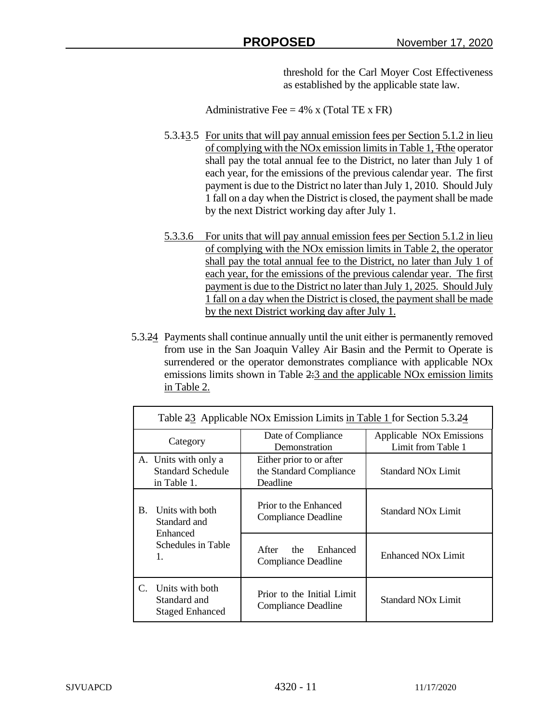threshold for the Carl Moyer Cost Effectiveness as established by the applicable state law.

Administrative Fee  $= 4\%$  x (Total TE x FR)

- 5.3.13.5 For units that will pay annual emission fees per Section 5.1.2 in lieu of complying with the NOx emission limits in Table 1, Tthe operator shall pay the total annual fee to the District, no later than July 1 of each year, for the emissions of the previous calendar year. The first payment is due to the District no later than July 1, 2010. Should July 1 fall on a day when the District is closed, the payment shall be made by the next District working day after July 1.
- 5.3.3.6 For units that will pay annual emission fees per Section 5.1.2 in lieu of complying with the NOx emission limits in Table 2, the operator shall pay the total annual fee to the District, no later than July 1 of each year, for the emissions of the previous calendar year. The first payment is due to the District no later than July 1, 2025. Should July 1 fall on a day when the District is closed, the payment shall be made by the next District working day after July 1.
- 5.3.24 Payments shall continue annually until the unit either is permanently removed from use in the San Joaquin Valley Air Basin and the Permit to Operate is surrendered or the operator demonstrates compliance with applicable NOx emissions limits shown in Table 2:3 and the applicable NO<sub>x</sub> emission limits in Table 2.

|                                                                                      | Table 23 Applicable NOx Emission Limits in Table 1 for Section 5.3.24 |                                                                 |                                                            |  |  |
|--------------------------------------------------------------------------------------|-----------------------------------------------------------------------|-----------------------------------------------------------------|------------------------------------------------------------|--|--|
| Category                                                                             |                                                                       | Date of Compliance<br>Demonstration                             | Applicable NO <sub>x</sub> Emissions<br>Limit from Table 1 |  |  |
|                                                                                      | A. Units with only a<br>Standard Schedule<br>in Table 1.              | Either prior to or after<br>the Standard Compliance<br>Deadline | <b>Standard NO<sub>x</sub></b> Limit                       |  |  |
| Units with both<br><b>B.</b><br>Standard and<br>Enhanced<br>Schedules in Table<br>1. | Prior to the Enhanced<br><b>Compliance Deadline</b>                   | <b>Standard NOx Limit</b>                                       |                                                            |  |  |
|                                                                                      |                                                                       | Enhanced<br>After<br>the<br><b>Compliance Deadline</b>          | Enhanced NO <sub>x</sub> Limit                             |  |  |
| C.                                                                                   | Units with both<br>Standard and<br><b>Staged Enhanced</b>             | Prior to the Initial Limit<br><b>Compliance Deadline</b>        | <b>Standard NOx Limit</b>                                  |  |  |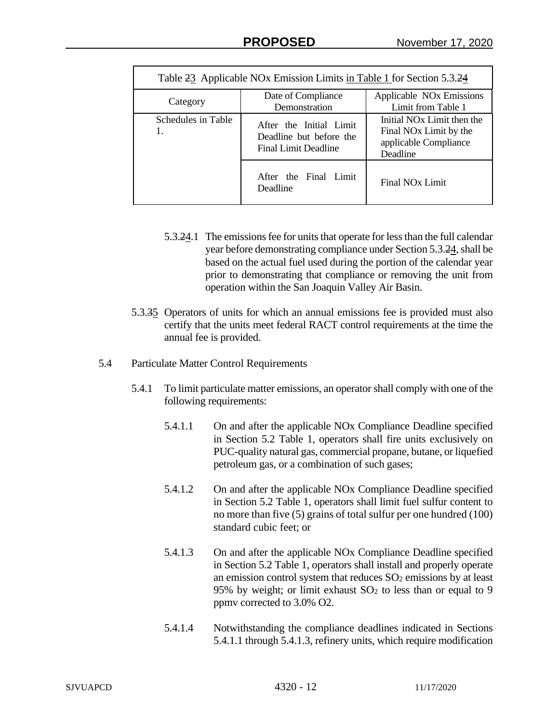| Table 23 Applicable NOx Emission Limits in Table 1 for Section 5.3.24 |                                                                                   |                                                                                                                   |  |  |
|-----------------------------------------------------------------------|-----------------------------------------------------------------------------------|-------------------------------------------------------------------------------------------------------------------|--|--|
| Category                                                              | Date of Compliance<br>Demonstration                                               | Applicable NO <sub>x</sub> Emissions<br>Limit from Table 1                                                        |  |  |
| Schedules in Table                                                    | After the Initial Limit<br>Deadline but before the<br><b>Final Limit Deadline</b> | Initial NO <sub>x</sub> Limit then the<br>Final NO <sub>x</sub> Limit by the<br>applicable Compliance<br>Deadline |  |  |
|                                                                       | After the Final Limit<br>Deadline                                                 | Final NO <sub>x</sub> Limit                                                                                       |  |  |

- 5.3.24.1 The emissions fee for units that operate for less than the full calendar year before demonstrating compliance under Section 5.3.24, shall be based on the actual fuel used during the portion of the calendar year prior to demonstrating that compliance or removing the unit from operation within the San Joaquin Valley Air Basin.
- 5.3.35 Operators of units for which an annual emissions fee is provided must also certify that the units meet federal RACT control requirements at the time the annual fee is provided.
- 5.4 Particulate Matter Control Requirements
	- 5.4.1 To limit particulate matter emissions, an operator shall comply with one of the following requirements:
		- 5.4.1.1 On and after the applicable NOx Compliance Deadline specified in Section 5.2 Table 1, operators shall fire units exclusively on PUC-quality natural gas, commercial propane, butane, or liquefied petroleum gas, or a combination of such gases;
		- 5.4.1.2 On and after the applicable NOx Compliance Deadline specified in Section 5.2 Table 1, operators shall limit fuel sulfur content to no more than five (5) grains of total sulfur per one hundred (100) standard cubic feet; or
		- 5.4.1.3 On and after the applicable NOx Compliance Deadline specified in Section 5.2 Table 1, operators shall install and properly operate an emission control system that reduces  $SO<sub>2</sub>$  emissions by at least 95% by weight; or limit exhaust  $SO<sub>2</sub>$  to less than or equal to 9 ppmv corrected to 3.0% O2.
		- 5.4.1.4 Notwithstanding the compliance deadlines indicated in Sections 5.4.1.1 through 5.4.1.3, refinery units, which require modification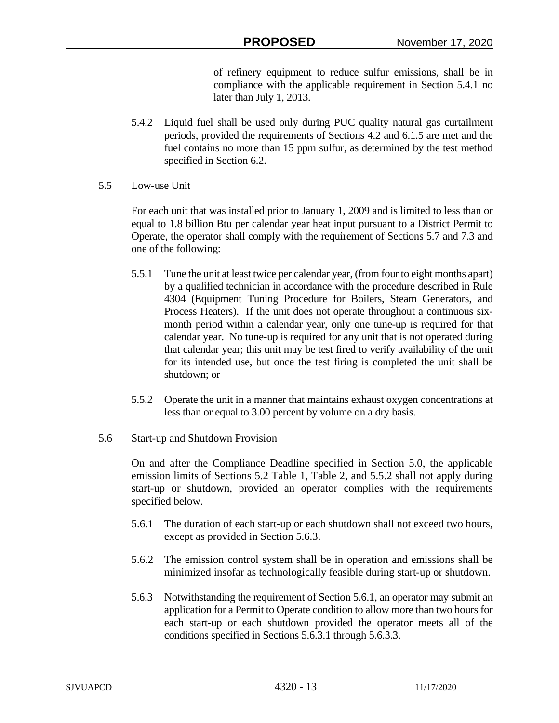of refinery equipment to reduce sulfur emissions, shall be in compliance with the applicable requirement in Section 5.4.1 no later than July 1, 2013.

- 5.4.2 Liquid fuel shall be used only during PUC quality natural gas curtailment periods, provided the requirements of Sections 4.2 and 6.1.5 are met and the fuel contains no more than 15 ppm sulfur, as determined by the test method specified in Section 6.2.
- 5.5 Low-use Unit

For each unit that was installed prior to January 1, 2009 and is limited to less than or equal to 1.8 billion Btu per calendar year heat input pursuant to a District Permit to Operate, the operator shall comply with the requirement of Sections 5.7 and 7.3 and one of the following:

- 5.5.1 Tune the unit at least twice per calendar year, (from four to eight months apart) by a qualified technician in accordance with the procedure described in Rule 4304 (Equipment Tuning Procedure for Boilers, Steam Generators, and Process Heaters). If the unit does not operate throughout a continuous sixmonth period within a calendar year, only one tune-up is required for that calendar year. No tune-up is required for any unit that is not operated during that calendar year; this unit may be test fired to verify availability of the unit for its intended use, but once the test firing is completed the unit shall be shutdown; or
- 5.5.2 Operate the unit in a manner that maintains exhaust oxygen concentrations at less than or equal to 3.00 percent by volume on a dry basis.
- 5.6 Start-up and Shutdown Provision

On and after the Compliance Deadline specified in Section 5.0, the applicable emission limits of Sections 5.2 Table 1, Table 2, and 5.5.2 shall not apply during start-up or shutdown, provided an operator complies with the requirements specified below.

- 5.6.1 The duration of each start-up or each shutdown shall not exceed two hours, except as provided in Section 5.6.3.
- 5.6.2 The emission control system shall be in operation and emissions shall be minimized insofar as technologically feasible during start-up or shutdown.
- 5.6.3 Notwithstanding the requirement of Section 5.6.1, an operator may submit an application for a Permit to Operate condition to allow more than two hours for each start-up or each shutdown provided the operator meets all of the conditions specified in Sections 5.6.3.1 through 5.6.3.3.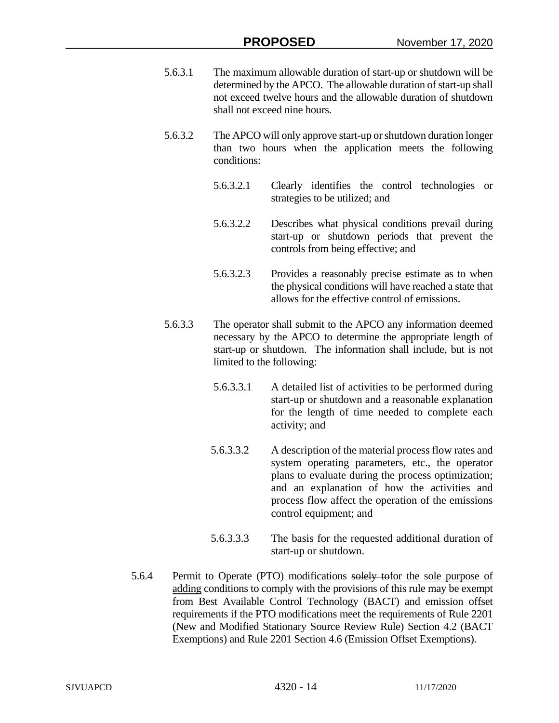- 5.6.3.1 The maximum allowable duration of start-up or shutdown will be determined by the APCO. The allowable duration of start-up shall not exceed twelve hours and the allowable duration of shutdown shall not exceed nine hours.
- 5.6.3.2 The APCO will only approve start-up or shutdown duration longer than two hours when the application meets the following conditions:
	- 5.6.3.2.1 Clearly identifies the control technologies or strategies to be utilized; and
	- 5.6.3.2.2 Describes what physical conditions prevail during start-up or shutdown periods that prevent the controls from being effective; and
	- 5.6.3.2.3 Provides a reasonably precise estimate as to when the physical conditions will have reached a state that allows for the effective control of emissions.
- 5.6.3.3 The operator shall submit to the APCO any information deemed necessary by the APCO to determine the appropriate length of start-up or shutdown. The information shall include, but is not limited to the following:
	- 5.6.3.3.1 A detailed list of activities to be performed during start-up or shutdown and a reasonable explanation for the length of time needed to complete each activity; and
	- 5.6.3.3.2 A description of the material process flow rates and system operating parameters, etc., the operator plans to evaluate during the process optimization; and an explanation of how the activities and process flow affect the operation of the emissions control equipment; and
	- 5.6.3.3.3 The basis for the requested additional duration of start-up or shutdown.
- 5.6.4 Permit to Operate (PTO) modifications solely tofor the sole purpose of adding conditions to comply with the provisions of this rule may be exempt from Best Available Control Technology (BACT) and emission offset requirements if the PTO modifications meet the requirements of Rule 2201 (New and Modified Stationary Source Review Rule) Section 4.2 (BACT Exemptions) and Rule 2201 Section 4.6 (Emission Offset Exemptions).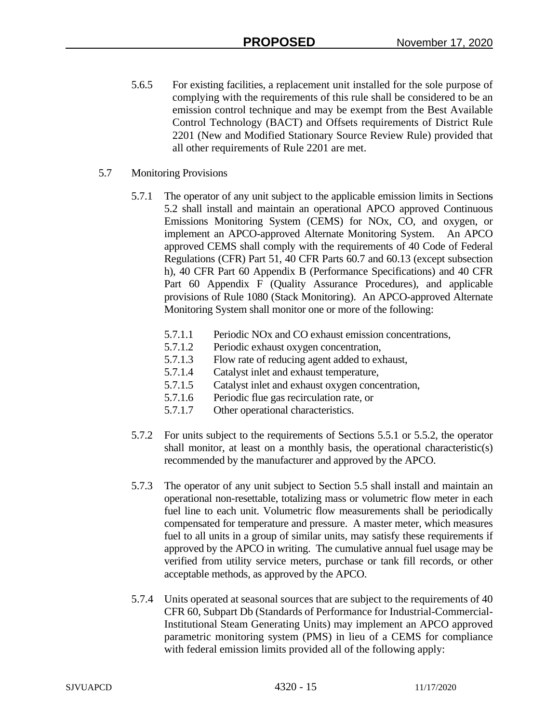- 5.6.5 For existing facilities, a replacement unit installed for the sole purpose of complying with the requirements of this rule shall be considered to be an emission control technique and may be exempt from the Best Available Control Technology (BACT) and Offsets requirements of District Rule 2201 (New and Modified Stationary Source Review Rule) provided that all other requirements of Rule 2201 are met.
- 5.7 Monitoring Provisions
	- 5.7.1 The operator of any unit subject to the applicable emission limits in Sections 5.2 shall install and maintain an operational APCO approved Continuous Emissions Monitoring System (CEMS) for NOx, CO, and oxygen, or implement an APCO-approved Alternate Monitoring System. An APCO approved CEMS shall comply with the requirements of 40 Code of Federal Regulations (CFR) Part 51, 40 CFR Parts 60.7 and 60.13 (except subsection h), 40 CFR Part 60 Appendix B (Performance Specifications) and 40 CFR Part 60 Appendix F (Quality Assurance Procedures), and applicable provisions of Rule 1080 (Stack Monitoring). An APCO-approved Alternate Monitoring System shall monitor one or more of the following:
		- 5.7.1.1 Periodic NOx and CO exhaust emission concentrations,
		- 5.7.1.2 Periodic exhaust oxygen concentration,
		- 5.7.1.3 Flow rate of reducing agent added to exhaust,
		- 5.7.1.4 Catalyst inlet and exhaust temperature,
		- 5.7.1.5 Catalyst inlet and exhaust oxygen concentration,
		- 5.7.1.6 Periodic flue gas recirculation rate, or
		- 5.7.1.7 Other operational characteristics.
	- 5.7.2 For units subject to the requirements of Sections 5.5.1 or 5.5.2, the operator shall monitor, at least on a monthly basis, the operational characteristic(s) recommended by the manufacturer and approved by the APCO.
	- 5.7.3 The operator of any unit subject to Section 5.5 shall install and maintain an operational non-resettable, totalizing mass or volumetric flow meter in each fuel line to each unit. Volumetric flow measurements shall be periodically compensated for temperature and pressure. A master meter, which measures fuel to all units in a group of similar units, may satisfy these requirements if approved by the APCO in writing. The cumulative annual fuel usage may be verified from utility service meters, purchase or tank fill records, or other acceptable methods, as approved by the APCO.
	- 5.7.4 Units operated at seasonal sources that are subject to the requirements of 40 CFR 60, Subpart Db (Standards of Performance for Industrial-Commercial-Institutional Steam Generating Units) may implement an APCO approved parametric monitoring system (PMS) in lieu of a CEMS for compliance with federal emission limits provided all of the following apply: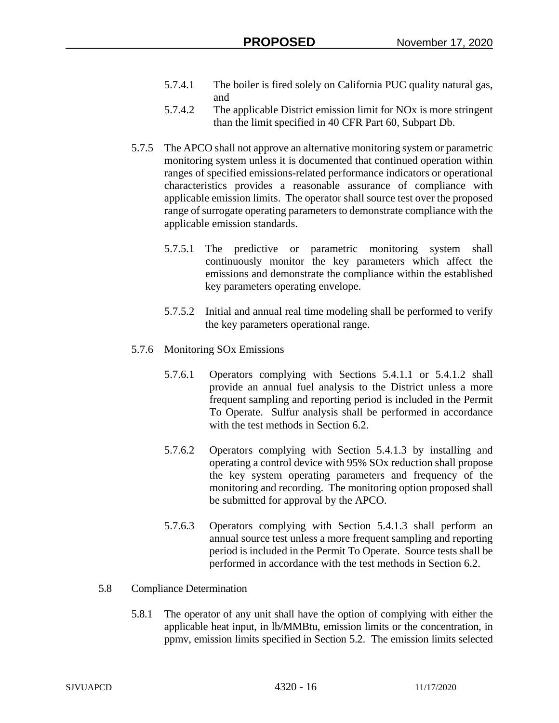- 5.7.4.1 The boiler is fired solely on California PUC quality natural gas, and
- 5.7.4.2 The applicable District emission limit for NOx is more stringent than the limit specified in 40 CFR Part 60, Subpart Db.
- 5.7.5 The APCO shall not approve an alternative monitoring system or parametric monitoring system unless it is documented that continued operation within ranges of specified emissions-related performance indicators or operational characteristics provides a reasonable assurance of compliance with applicable emission limits. The operator shall source test over the proposed range of surrogate operating parameters to demonstrate compliance with the applicable emission standards.
	- 5.7.5.1 The predictive or parametric monitoring system shall continuously monitor the key parameters which affect the emissions and demonstrate the compliance within the established key parameters operating envelope.
	- 5.7.5.2 Initial and annual real time modeling shall be performed to verify the key parameters operational range.

## 5.7.6 Monitoring SOx Emissions

- 5.7.6.1 Operators complying with Sections 5.4.1.1 or 5.4.1.2 shall provide an annual fuel analysis to the District unless a more frequent sampling and reporting period is included in the Permit To Operate. Sulfur analysis shall be performed in accordance with the test methods in Section 6.2.
- 5.7.6.2 Operators complying with Section 5.4.1.3 by installing and operating a control device with 95% SOx reduction shall propose the key system operating parameters and frequency of the monitoring and recording. The monitoring option proposed shall be submitted for approval by the APCO.
- 5.7.6.3 Operators complying with Section 5.4.1.3 shall perform an annual source test unless a more frequent sampling and reporting period is included in the Permit To Operate. Source tests shall be performed in accordance with the test methods in Section 6.2.
- 5.8 Compliance Determination
	- 5.8.1 The operator of any unit shall have the option of complying with either the applicable heat input, in lb/MMBtu, emission limits or the concentration, in ppmv, emission limits specified in Section 5.2. The emission limits selected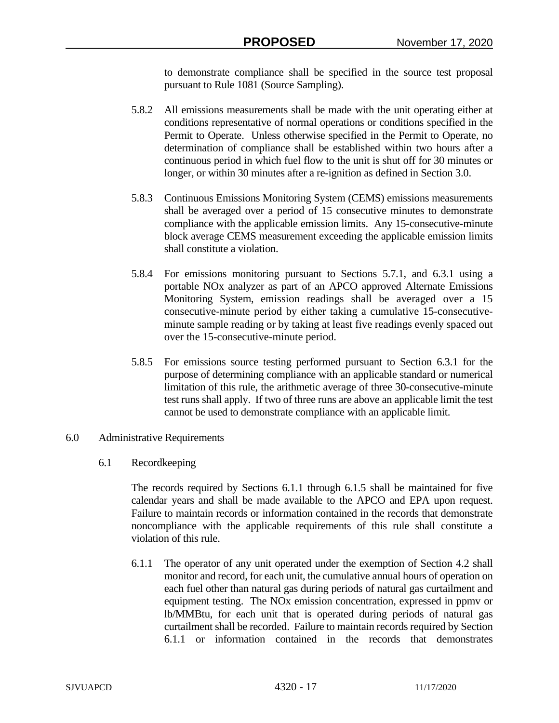to demonstrate compliance shall be specified in the source test proposal pursuant to Rule 1081 (Source Sampling).

- 5.8.2 All emissions measurements shall be made with the unit operating either at conditions representative of normal operations or conditions specified in the Permit to Operate. Unless otherwise specified in the Permit to Operate, no determination of compliance shall be established within two hours after a continuous period in which fuel flow to the unit is shut off for 30 minutes or longer, or within 30 minutes after a re-ignition as defined in Section 3.0.
- 5.8.3 Continuous Emissions Monitoring System (CEMS) emissions measurements shall be averaged over a period of 15 consecutive minutes to demonstrate compliance with the applicable emission limits. Any 15-consecutive-minute block average CEMS measurement exceeding the applicable emission limits shall constitute a violation.
- 5.8.4 For emissions monitoring pursuant to Sections 5.7.1, and 6.3.1 using a portable NOx analyzer as part of an APCO approved Alternate Emissions Monitoring System, emission readings shall be averaged over a 15 consecutive-minute period by either taking a cumulative 15-consecutiveminute sample reading or by taking at least five readings evenly spaced out over the 15-consecutive-minute period.
- 5.8.5 For emissions source testing performed pursuant to Section 6.3.1 for the purpose of determining compliance with an applicable standard or numerical limitation of this rule, the arithmetic average of three 30-consecutive-minute test runs shall apply. If two of three runs are above an applicable limit the test cannot be used to demonstrate compliance with an applicable limit.

## 6.0 Administrative Requirements

6.1 Recordkeeping

The records required by Sections 6.1.1 through 6.1.5 shall be maintained for five calendar years and shall be made available to the APCO and EPA upon request. Failure to maintain records or information contained in the records that demonstrate noncompliance with the applicable requirements of this rule shall constitute a violation of this rule.

6.1.1 The operator of any unit operated under the exemption of Section 4.2 shall monitor and record, for each unit, the cumulative annual hours of operation on each fuel other than natural gas during periods of natural gas curtailment and equipment testing. The NOx emission concentration, expressed in ppmv or lb/MMBtu, for each unit that is operated during periods of natural gas curtailment shall be recorded. Failure to maintain records required by Section 6.1.1 or information contained in the records that demonstrates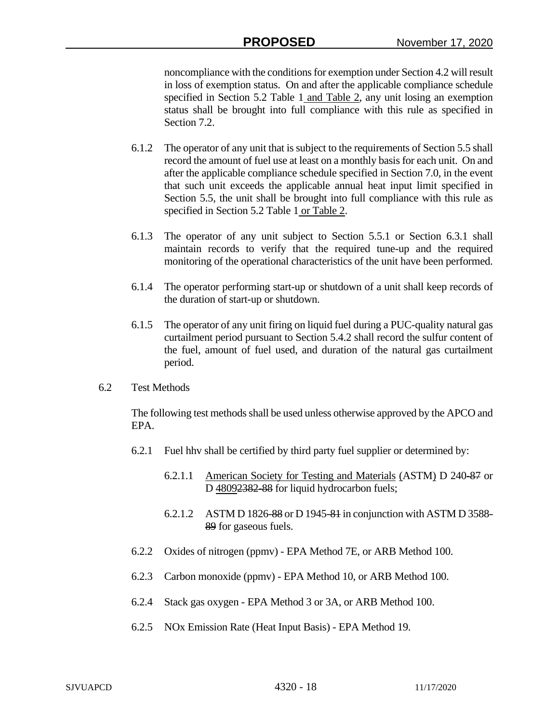noncompliance with the conditions for exemption under Section 4.2 will result in loss of exemption status. On and after the applicable compliance schedule specified in Section 5.2 Table 1 and Table 2, any unit losing an exemption status shall be brought into full compliance with this rule as specified in Section 7.2.

- 6.1.2 The operator of any unit that is subject to the requirements of Section 5.5 shall record the amount of fuel use at least on a monthly basis for each unit. On and after the applicable compliance schedule specified in Section 7.0, in the event that such unit exceeds the applicable annual heat input limit specified in Section 5.5, the unit shall be brought into full compliance with this rule as specified in Section 5.2 Table 1 or Table 2.
- 6.1.3 The operator of any unit subject to Section 5.5.1 or Section 6.3.1 shall maintain records to verify that the required tune-up and the required monitoring of the operational characteristics of the unit have been performed.
- 6.1.4 The operator performing start-up or shutdown of a unit shall keep records of the duration of start-up or shutdown.
- 6.1.5 The operator of any unit firing on liquid fuel during a PUC-quality natural gas curtailment period pursuant to Section 5.4.2 shall record the sulfur content of the fuel, amount of fuel used, and duration of the natural gas curtailment period.
- 6.2 Test Methods

The following test methods shall be used unless otherwise approved by the APCO and EPA.

- 6.2.1 Fuel hhv shall be certified by third party fuel supplier or determined by:
	- 6.2.1.1 American Society for Testing and Materials (ASTM) D 240-87 or D 48092382-88 for liquid hydrocarbon fuels;
	- 6.2.1.2 ASTM D 1826-88 or D 1945-81 in conjunction with ASTM D 3588- 89 for gaseous fuels.
- 6.2.2 Oxides of nitrogen (ppmv) EPA Method 7E, or ARB Method 100.
- 6.2.3 Carbon monoxide (ppmv) EPA Method 10, or ARB Method 100.
- 6.2.4 Stack gas oxygen EPA Method 3 or 3A, or ARB Method 100.
- 6.2.5 NOx Emission Rate (Heat Input Basis) EPA Method 19.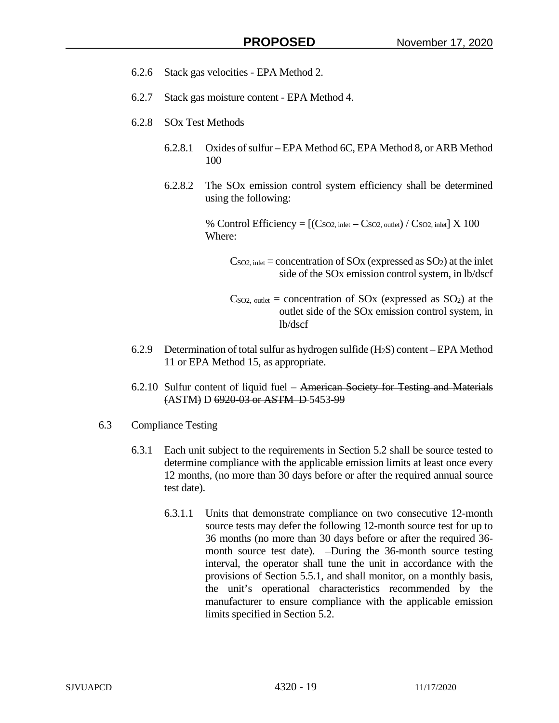- 6.2.6 Stack gas velocities EPA Method 2.
- 6.2.7 Stack gas moisture content EPA Method 4.
- 6.2.8 SOx Test Methods
	- 6.2.8.1 Oxides of sulfur EPA Method 6C, EPA Method 8, or ARB Method 100
	- 6.2.8.2 The SOx emission control system efficiency shall be determined using the following:

% Control Efficiency  $=$   $[(\text{Cso2}, \text{inlet} - \text{Cso2}, \text{outlet}) / \text{Cso2}, \text{inlet}] \times 100$ Where:

- $C<sub>SO2</sub>$ , inlet = concentration of  $SO<sub>X</sub>$  (expressed as  $SO<sub>2</sub>$ ) at the inlet side of the SOx emission control system, in lb/dscf
- $C<sub>SO2</sub>$ , outlet = concentration of  $SO<sub>X</sub>$  (expressed as  $SO<sub>2</sub>$ ) at the outlet side of the SOx emission control system, in lb/dscf
- 6.2.9 Determination of total sulfur as hydrogen sulfide  $(H_2S)$  content EPA Method 11 or EPA Method 15, as appropriate.
- 6.2.10 Sulfur content of liquid fuel American Society for Testing and Materials (ASTM) D 6920-03 or ASTM D 5453-99
- 6.3 Compliance Testing
	- 6.3.1 Each unit subject to the requirements in Section 5.2 shall be source tested to determine compliance with the applicable emission limits at least once every 12 months, (no more than 30 days before or after the required annual source test date).
		- 6.3.1.1 Units that demonstrate compliance on two consecutive 12-month source tests may defer the following 12-month source test for up to 36 months (no more than 30 days before or after the required 36 month source test date). -During the 36-month source testing interval, the operator shall tune the unit in accordance with the provisions of Section 5.5.1, and shall monitor, on a monthly basis, the unit's operational characteristics recommended by the manufacturer to ensure compliance with the applicable emission limits specified in Section 5.2.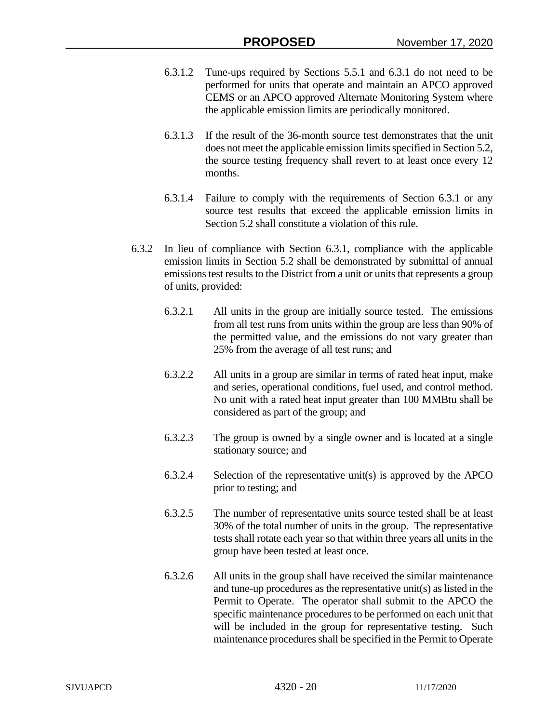- 6.3.1.2 Tune-ups required by Sections 5.5.1 and 6.3.1 do not need to be performed for units that operate and maintain an APCO approved CEMS or an APCO approved Alternate Monitoring System where the applicable emission limits are periodically monitored.
- 6.3.1.3 If the result of the 36-month source test demonstrates that the unit does not meet the applicable emission limits specified in Section 5.2, the source testing frequency shall revert to at least once every 12 months.
- 6.3.1.4 Failure to comply with the requirements of Section 6.3.1 or any source test results that exceed the applicable emission limits in Section 5.2 shall constitute a violation of this rule.
- 6.3.2 In lieu of compliance with Section 6.3.1, compliance with the applicable emission limits in Section 5.2 shall be demonstrated by submittal of annual emissions test results to the District from a unit or units that represents a group of units, provided:
	- 6.3.2.1 All units in the group are initially source tested. The emissions from all test runs from units within the group are less than 90% of the permitted value, and the emissions do not vary greater than 25% from the average of all test runs; and
	- 6.3.2.2 All units in a group are similar in terms of rated heat input, make and series, operational conditions, fuel used, and control method. No unit with a rated heat input greater than 100 MMBtu shall be considered as part of the group; and
	- 6.3.2.3 The group is owned by a single owner and is located at a single stationary source; and
	- 6.3.2.4 Selection of the representative unit(s) is approved by the APCO prior to testing; and
	- 6.3.2.5 The number of representative units source tested shall be at least 30% of the total number of units in the group. The representative tests shall rotate each year so that within three years all units in the group have been tested at least once.
	- 6.3.2.6 All units in the group shall have received the similar maintenance and tune-up procedures as the representative unit(s) as listed in the Permit to Operate. The operator shall submit to the APCO the specific maintenance procedures to be performed on each unit that will be included in the group for representative testing. Such maintenance procedures shall be specified in the Permit to Operate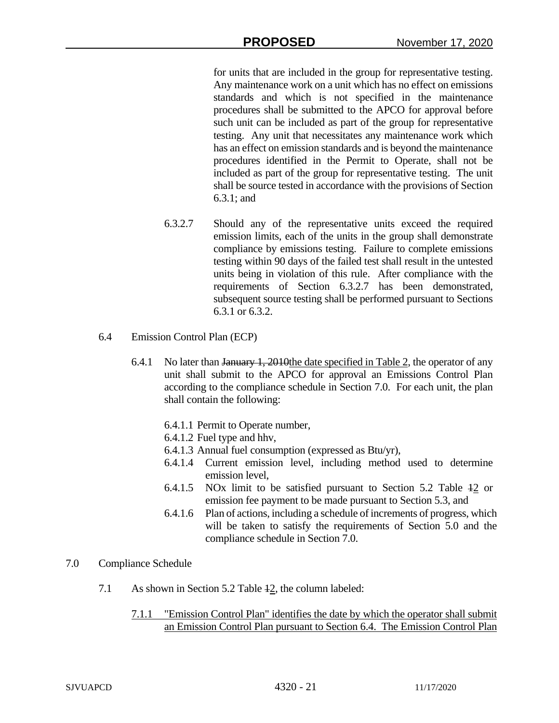for units that are included in the group for representative testing. Any maintenance work on a unit which has no effect on emissions standards and which is not specified in the maintenance procedures shall be submitted to the APCO for approval before such unit can be included as part of the group for representative testing. Any unit that necessitates any maintenance work which has an effect on emission standards and is beyond the maintenance procedures identified in the Permit to Operate, shall not be included as part of the group for representative testing. The unit shall be source tested in accordance with the provisions of Section 6.3.1; and

- 6.3.2.7 Should any of the representative units exceed the required emission limits, each of the units in the group shall demonstrate compliance by emissions testing. Failure to complete emissions testing within 90 days of the failed test shall result in the untested units being in violation of this rule. After compliance with the requirements of Section 6.3.2.7 has been demonstrated, subsequent source testing shall be performed pursuant to Sections 6.3.1 or 6.3.2.
- 6.4 Emission Control Plan (ECP)
	- 6.4.1 No later than January 1, 2010the date specified in Table 2, the operator of any unit shall submit to the APCO for approval an Emissions Control Plan according to the compliance schedule in Section 7.0. For each unit, the plan shall contain the following:
		- 6.4.1.1 Permit to Operate number,
		- 6.4.1.2 Fuel type and hhv,
		- 6.4.1.3 Annual fuel consumption (expressed as Btu/yr),
		- 6.4.1.4 Current emission level, including method used to determine emission level,
		- 6.4.1.5 NOx limit to be satisfied pursuant to Section 5.2 Table 12 or emission fee payment to be made pursuant to Section 5.3, and
		- 6.4.1.6 Plan of actions, including a schedule of increments of progress, which will be taken to satisfy the requirements of Section 5.0 and the compliance schedule in Section 7.0.
- 7.0 Compliance Schedule
	- 7.1 As shown in Section 5.2 Table 12, the column labeled:
		- 7.1.1 "Emission Control Plan" identifies the date by which the operator shall submit an Emission Control Plan pursuant to Section 6.4. The Emission Control Plan